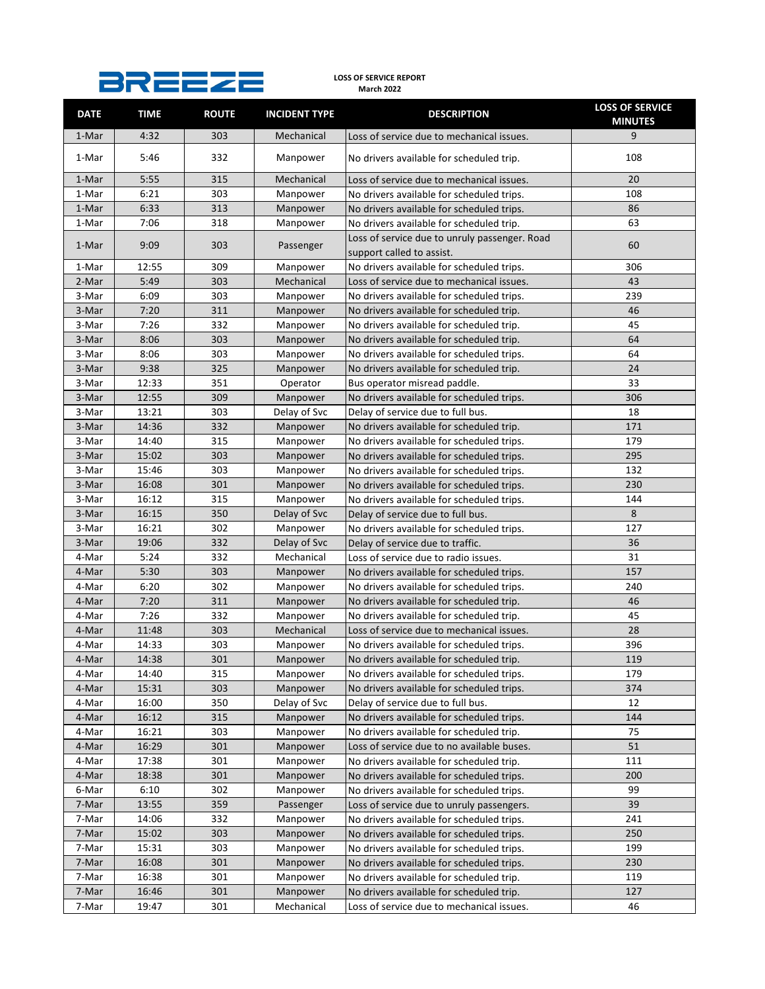## **LOSS OF SERVICE REPORT March 2022**

| <b>DATE</b> | <b>TIME</b> | <b>ROUTE</b> | <b>INCIDENT TYPE</b> | <b>DESCRIPTION</b>                                                         | <b>LOSS OF SERVICE</b><br><b>MINUTES</b> |
|-------------|-------------|--------------|----------------------|----------------------------------------------------------------------------|------------------------------------------|
| 1-Mar       | 4:32        | 303          | Mechanical           | Loss of service due to mechanical issues.                                  | 9                                        |
| 1-Mar       | 5:46        | 332          | Manpower             | No drivers available for scheduled trip.                                   | 108                                      |
| 1-Mar       | 5:55        | 315          | Mechanical           | Loss of service due to mechanical issues.                                  | 20                                       |
| 1-Mar       | 6:21        | 303          | Manpower             | No drivers available for scheduled trips.                                  | 108                                      |
| 1-Mar       | 6:33        | 313          | Manpower             | No drivers available for scheduled trips.                                  | 86                                       |
| 1-Mar       | 7:06        | 318          | Manpower             | No drivers available for scheduled trip.                                   | 63                                       |
| 1-Mar       | 9:09        | 303          | Passenger            | Loss of service due to unruly passenger. Road<br>support called to assist. | 60                                       |
| 1-Mar       | 12:55       | 309          | Manpower             | No drivers available for scheduled trips.                                  | 306                                      |
| 2-Mar       | 5:49        | 303          | Mechanical           | Loss of service due to mechanical issues.                                  | 43                                       |
| 3-Mar       | 6:09        | 303          | Manpower             | No drivers available for scheduled trips.                                  | 239                                      |
| 3-Mar       | 7:20        | 311          | Manpower             | No drivers available for scheduled trip.                                   | 46                                       |
| 3-Mar       | 7:26        | 332          | Manpower             | No drivers available for scheduled trip.                                   | 45                                       |
| 3-Mar       | 8:06        | 303          | Manpower             | No drivers available for scheduled trip.                                   | 64                                       |
| 3-Mar       | 8:06        | 303          | Manpower             | No drivers available for scheduled trips.                                  | 64                                       |
| 3-Mar       | 9:38        | 325          | Manpower             | No drivers available for scheduled trip.                                   | 24                                       |
| 3-Mar       | 12:33       | 351          | Operator             | Bus operator misread paddle.                                               | 33                                       |
| 3-Mar       | 12:55       | 309          | Manpower             | No drivers available for scheduled trips.                                  | 306                                      |
| 3-Mar       | 13:21       | 303          | Delay of Svc         | Delay of service due to full bus.                                          | 18                                       |
| 3-Mar       | 14:36       | 332          | Manpower             | No drivers available for scheduled trip.                                   | 171                                      |
| 3-Mar       | 14:40       | 315          | Manpower             | No drivers available for scheduled trips.                                  | 179                                      |
| 3-Mar       | 15:02       | 303          | Manpower             | No drivers available for scheduled trips.                                  | 295                                      |
| 3-Mar       | 15:46       | 303          | Manpower             | No drivers available for scheduled trips.                                  | 132                                      |
| 3-Mar       | 16:08       | 301          | Manpower             | No drivers available for scheduled trips.                                  | 230                                      |
| 3-Mar       | 16:12       | 315          | Manpower             | No drivers available for scheduled trips.                                  | 144                                      |
| 3-Mar       | 16:15       | 350          | Delay of Svc         | Delay of service due to full bus.                                          | 8                                        |
| 3-Mar       | 16:21       | 302          | Manpower             | No drivers available for scheduled trips.                                  | 127                                      |
| 3-Mar       | 19:06       | 332          | Delay of Svc         | Delay of service due to traffic.                                           | 36                                       |
| 4-Mar       | 5:24        | 332          | Mechanical           | Loss of service due to radio issues.                                       | 31                                       |
| 4-Mar       | 5:30        | 303          | Manpower             | No drivers available for scheduled trips.                                  | 157                                      |
| 4-Mar       | 6:20        | 302          | Manpower             | No drivers available for scheduled trips.                                  | 240                                      |
| 4-Mar       | 7:20        | 311          | Manpower             | No drivers available for scheduled trip.                                   | 46                                       |
| 4-Mar       | 7:26        | 332          | Manpower             | No drivers available for scheduled trip.                                   | 45                                       |
| 4-Mar       | 11:48       | 303          | Mechanical           | Loss of service due to mechanical issues.                                  | 28                                       |
| 4-Mar       | 14:33       | 303          | Manpower             | No drivers available for scheduled trips.                                  | 396                                      |
| 4-Mar       | 14:38       | 301          | Manpower             | No drivers available for scheduled trip.                                   | 119                                      |
| 4-Mar       | 14:40       | 315          | Manpower             | No drivers available for scheduled trips.                                  | 179                                      |
| 4-Mar       | 15:31       | 303          | Manpower             | No drivers available for scheduled trips.                                  | 374                                      |
| 4-Mar       | 16:00       | 350          | Delay of Svc         | Delay of service due to full bus.                                          | 12                                       |
| 4-Mar       | 16:12       | 315          | Manpower             | No drivers available for scheduled trips.                                  | 144                                      |
| 4-Mar       | 16:21       | 303          | Manpower             | No drivers available for scheduled trip.                                   | 75                                       |
| 4-Mar       | 16:29       | 301          | Manpower             | Loss of service due to no available buses.                                 | 51                                       |
| 4-Mar       | 17:38       | 301          | Manpower             | No drivers available for scheduled trip.                                   | 111                                      |
| 4-Mar       | 18:38       | 301          | Manpower             | No drivers available for scheduled trips.                                  | 200                                      |
| 6-Mar       | 6:10        | 302          | Manpower             | No drivers available for scheduled trips.                                  | 99                                       |
| 7-Mar       | 13:55       | 359          | Passenger            | Loss of service due to unruly passengers.                                  | 39                                       |
| 7-Mar       | 14:06       | 332          | Manpower             | No drivers available for scheduled trips.                                  | 241                                      |
| 7-Mar       | 15:02       | 303          | Manpower             | No drivers available for scheduled trips.                                  | 250                                      |
| 7-Mar       | 15:31       | 303          | Manpower             | No drivers available for scheduled trips.                                  | 199                                      |
| 7-Mar       | 16:08       | 301          | Manpower             | No drivers available for scheduled trips.                                  | 230                                      |
| 7-Mar       | 16:38       | 301          | Manpower             | No drivers available for scheduled trip.                                   | 119                                      |
| 7-Mar       | 16:46       | 301          | Manpower             | No drivers available for scheduled trip.                                   | 127                                      |
| 7-Mar       | 19:47       | 301          | Mechanical           | Loss of service due to mechanical issues.                                  | 46                                       |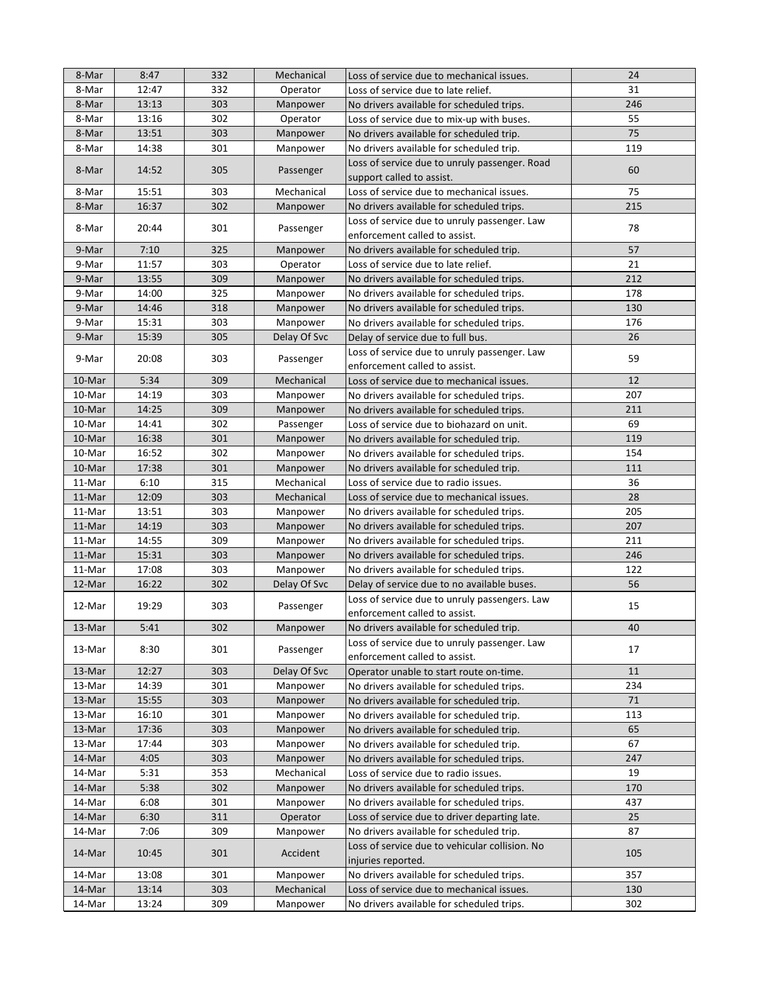| 8-Mar  | 8:47  | 332 | Mechanical   | Loss of service due to mechanical issues.                                      | 24  |
|--------|-------|-----|--------------|--------------------------------------------------------------------------------|-----|
| 8-Mar  | 12:47 | 332 | Operator     | Loss of service due to late relief.                                            | 31  |
| 8-Mar  | 13:13 | 303 | Manpower     | No drivers available for scheduled trips.                                      | 246 |
| 8-Mar  | 13:16 | 302 | Operator     | Loss of service due to mix-up with buses.                                      | 55  |
| 8-Mar  | 13:51 | 303 | Manpower     | No drivers available for scheduled trip.                                       | 75  |
| 8-Mar  | 14:38 | 301 | Manpower     | No drivers available for scheduled trip.                                       | 119 |
| 8-Mar  | 14:52 | 305 | Passenger    | Loss of service due to unruly passenger. Road<br>support called to assist.     | 60  |
| 8-Mar  | 15:51 | 303 | Mechanical   | Loss of service due to mechanical issues.                                      | 75  |
| 8-Mar  | 16:37 | 302 | Manpower     | No drivers available for scheduled trips.                                      | 215 |
| 8-Mar  | 20:44 | 301 | Passenger    | Loss of service due to unruly passenger. Law<br>enforcement called to assist.  | 78  |
| 9-Mar  | 7:10  | 325 | Manpower     | No drivers available for scheduled trip.                                       | 57  |
| 9-Mar  | 11:57 | 303 | Operator     | Loss of service due to late relief.                                            | 21  |
| 9-Mar  | 13:55 | 309 | Manpower     | No drivers available for scheduled trips.                                      | 212 |
| 9-Mar  | 14:00 | 325 | Manpower     | No drivers available for scheduled trips.                                      | 178 |
| 9-Mar  | 14:46 | 318 | Manpower     | No drivers available for scheduled trips.                                      | 130 |
| 9-Mar  | 15:31 | 303 | Manpower     | No drivers available for scheduled trips.                                      | 176 |
| 9-Mar  | 15:39 | 305 | Delay Of Svc | Delay of service due to full bus.                                              | 26  |
|        |       | 303 |              | Loss of service due to unruly passenger. Law                                   | 59  |
| 9-Mar  | 20:08 |     | Passenger    | enforcement called to assist.                                                  |     |
| 10-Mar | 5:34  | 309 | Mechanical   | Loss of service due to mechanical issues.                                      | 12  |
| 10-Mar | 14:19 | 303 | Manpower     | No drivers available for scheduled trips.                                      | 207 |
| 10-Mar | 14:25 | 309 | Manpower     | No drivers available for scheduled trips.                                      | 211 |
| 10-Mar | 14:41 | 302 | Passenger    | Loss of service due to biohazard on unit.                                      | 69  |
| 10-Mar | 16:38 | 301 | Manpower     | No drivers available for scheduled trip.                                       | 119 |
| 10-Mar | 16:52 | 302 | Manpower     | No drivers available for scheduled trips.                                      | 154 |
| 10-Mar | 17:38 | 301 | Manpower     | No drivers available for scheduled trip.                                       | 111 |
| 11-Mar | 6:10  | 315 | Mechanical   | Loss of service due to radio issues.                                           | 36  |
| 11-Mar | 12:09 | 303 | Mechanical   | Loss of service due to mechanical issues.                                      | 28  |
| 11-Mar | 13:51 | 303 | Manpower     | No drivers available for scheduled trips.                                      | 205 |
| 11-Mar | 14:19 | 303 | Manpower     | No drivers available for scheduled trips.                                      | 207 |
| 11-Mar | 14:55 | 309 | Manpower     | No drivers available for scheduled trips.                                      | 211 |
| 11-Mar | 15:31 | 303 | Manpower     | No drivers available for scheduled trips.                                      | 246 |
| 11-Mar | 17:08 | 303 | Manpower     | No drivers available for scheduled trips.                                      | 122 |
| 12-Mar | 16:22 | 302 | Delay Of Svc | Delay of service due to no available buses.                                    | 56  |
| 12-Mar | 19:29 | 303 | Passenger    | Loss of service due to unruly passengers. Law<br>enforcement called to assist. | 15  |
| 13-Mar | 5:41  | 302 | Manpower     | No drivers available for scheduled trip.                                       | 40  |
| 13-Mar | 8:30  | 301 | Passenger    | Loss of service due to unruly passenger. Law<br>enforcement called to assist.  | 17  |
| 13-Mar | 12:27 | 303 | Delay Of Svc | Operator unable to start route on-time.                                        | 11  |
| 13-Mar | 14:39 | 301 | Manpower     | No drivers available for scheduled trips.                                      | 234 |
| 13-Mar | 15:55 | 303 | Manpower     | No drivers available for scheduled trip.                                       | 71  |
| 13-Mar | 16:10 | 301 | Manpower     | No drivers available for scheduled trip.                                       | 113 |
| 13-Mar | 17:36 | 303 | Manpower     | No drivers available for scheduled trip.                                       | 65  |
| 13-Mar | 17:44 | 303 | Manpower     | No drivers available for scheduled trip.                                       | 67  |
| 14-Mar | 4:05  | 303 | Manpower     | No drivers available for scheduled trips.                                      | 247 |
| 14-Mar | 5:31  | 353 | Mechanical   | Loss of service due to radio issues.                                           | 19  |
| 14-Mar | 5:38  | 302 | Manpower     | No drivers available for scheduled trips.                                      | 170 |
| 14-Mar | 6:08  | 301 | Manpower     | No drivers available for scheduled trips.                                      | 437 |
| 14-Mar | 6:30  | 311 | Operator     | Loss of service due to driver departing late.                                  | 25  |
| 14-Mar | 7:06  | 309 | Manpower     | No drivers available for scheduled trip.                                       | 87  |
| 14-Mar | 10:45 | 301 | Accident     | Loss of service due to vehicular collision. No<br>injuries reported.           | 105 |
| 14-Mar | 13:08 | 301 | Manpower     | No drivers available for scheduled trips.                                      | 357 |
| 14-Mar | 13:14 | 303 | Mechanical   | Loss of service due to mechanical issues.                                      | 130 |
| 14-Mar | 13:24 | 309 | Manpower     | No drivers available for scheduled trips.                                      | 302 |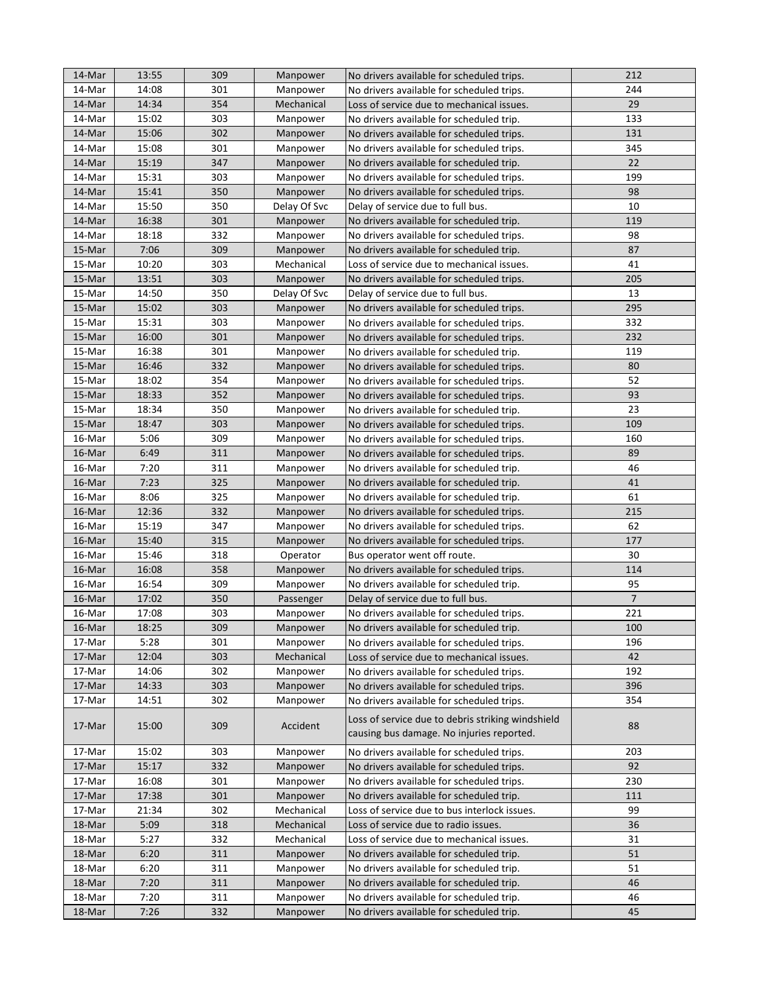| 14-Mar           | 13:55          | 309        | Manpower             | No drivers available for scheduled trips.                                                      | 212            |
|------------------|----------------|------------|----------------------|------------------------------------------------------------------------------------------------|----------------|
| 14-Mar           | 14:08          | 301        | Manpower             | No drivers available for scheduled trips.                                                      | 244            |
| 14-Mar           | 14:34          | 354        | Mechanical           | Loss of service due to mechanical issues.                                                      | 29             |
| 14-Mar           | 15:02          | 303        | Manpower             | No drivers available for scheduled trip.                                                       | 133            |
| 14-Mar           | 15:06          | 302        | Manpower             | No drivers available for scheduled trips.                                                      | 131            |
| 14-Mar           | 15:08          | 301        | Manpower             | No drivers available for scheduled trips.                                                      | 345            |
| 14-Mar           | 15:19          | 347        | Manpower             | No drivers available for scheduled trip.                                                       | 22             |
| 14-Mar           | 15:31          | 303        | Manpower             | No drivers available for scheduled trips.                                                      | 199            |
| 14-Mar           | 15:41          | 350        | Manpower             | No drivers available for scheduled trips.                                                      | 98             |
| 14-Mar           | 15:50          | 350        | Delay Of Svc         | Delay of service due to full bus.                                                              | 10             |
| 14-Mar           | 16:38          | 301        | Manpower             | No drivers available for scheduled trip.                                                       | 119            |
| 14-Mar           | 18:18          | 332        | Manpower             | No drivers available for scheduled trips.                                                      | 98             |
| 15-Mar           | 7:06           | 309        | Manpower             | No drivers available for scheduled trip.                                                       | 87             |
| 15-Mar           | 10:20          | 303        | Mechanical           | Loss of service due to mechanical issues.                                                      | 41             |
| 15-Mar           | 13:51          | 303        | Manpower             | No drivers available for scheduled trips.                                                      | 205            |
| 15-Mar           | 14:50          | 350        | Delay Of Svc         | Delay of service due to full bus.                                                              | 13             |
| 15-Mar           | 15:02          | 303        | Manpower             | No drivers available for scheduled trips.                                                      | 295            |
| 15-Mar           | 15:31          | 303        | Manpower             | No drivers available for scheduled trips.                                                      | 332            |
| 15-Mar           | 16:00          | 301        | Manpower             | No drivers available for scheduled trips.                                                      | 232            |
| 15-Mar           | 16:38          | 301        | Manpower             | No drivers available for scheduled trip.                                                       | 119            |
| 15-Mar           | 16:46          | 332        | Manpower             | No drivers available for scheduled trips.                                                      | 80             |
| 15-Mar           | 18:02          | 354        | Manpower             | No drivers available for scheduled trips.                                                      | 52             |
| 15-Mar           | 18:33          | 352        | Manpower             | No drivers available for scheduled trips.                                                      | 93             |
| 15-Mar           | 18:34          | 350        | Manpower             | No drivers available for scheduled trip.                                                       | 23             |
| 15-Mar           | 18:47          | 303        | Manpower             | No drivers available for scheduled trips.                                                      | 109            |
| 16-Mar           | 5:06           | 309        | Manpower             | No drivers available for scheduled trips.                                                      | 160            |
| 16-Mar           | 6:49           | 311        | Manpower             | No drivers available for scheduled trips.                                                      | 89             |
| 16-Mar           | 7:20           | 311        | Manpower             | No drivers available for scheduled trip.                                                       | 46             |
| 16-Mar           | 7:23           | 325        | Manpower             | No drivers available for scheduled trip.                                                       | 41             |
| 16-Mar           | 8:06           | 325        | Manpower             | No drivers available for scheduled trip.                                                       | 61             |
| 16-Mar           | 12:36          | 332        | Manpower             | No drivers available for scheduled trips.                                                      | 215            |
| 16-Mar           | 15:19          | 347        | Manpower             | No drivers available for scheduled trips.                                                      | 62             |
| 16-Mar           | 15:40          | 315        | Manpower             |                                                                                                | 177            |
| 16-Mar           | 15:46          | 318        | Operator             | No drivers available for scheduled trips.<br>Bus operator went off route.                      | 30             |
| 16-Mar           | 16:08          | 358        | Manpower             | No drivers available for scheduled trips.                                                      | 114            |
| 16-Mar           | 16:54          | 309        | Manpower             | No drivers available for scheduled trip.                                                       | 95             |
| 16-Mar           | 17:02          | 350        | Passenger            |                                                                                                | $\overline{7}$ |
| 16-Mar           | 17:08          | 303        |                      | Delay of service due to full bus.<br>No drivers available for scheduled trips.                 | 221            |
| 16-Mar           | 18:25          | 309        | Manpower<br>Manpower | No drivers available for scheduled trip.                                                       | 100            |
|                  | 5:28           |            |                      |                                                                                                | 196            |
| 17-Mar           |                | 301        | Manpower             | No drivers available for scheduled trips.                                                      |                |
| 17-Mar<br>17-Mar | 12:04<br>14:06 | 303<br>302 | Mechanical           | Loss of service due to mechanical issues.                                                      | 42<br>192      |
|                  |                |            | Manpower             | No drivers available for scheduled trips.                                                      |                |
| 17-Mar<br>17-Mar | 14:33<br>14:51 | 303<br>302 | Manpower             | No drivers available for scheduled trips.                                                      | 396<br>354     |
|                  |                |            | Manpower             | No drivers available for scheduled trips.                                                      |                |
| 17-Mar           | 15:00          | 309        | Accident             | Loss of service due to debris striking windshield<br>causing bus damage. No injuries reported. | 88             |
| 17-Mar           | 15:02          | 303        | Manpower             | No drivers available for scheduled trips.                                                      | 203            |
| 17-Mar           | 15:17          | 332        | Manpower             | No drivers available for scheduled trips.                                                      | 92             |
| 17-Mar           | 16:08          | 301        | Manpower             | No drivers available for scheduled trips.                                                      | 230            |
| 17-Mar           | 17:38          | 301        | Manpower             | No drivers available for scheduled trip.                                                       | 111            |
| 17-Mar           | 21:34          | 302        | Mechanical           | Loss of service due to bus interlock issues.                                                   | 99             |
| 18-Mar           | 5:09           | 318        | Mechanical           | Loss of service due to radio issues.                                                           | 36             |
| 18-Mar           | 5:27           | 332        | Mechanical           | Loss of service due to mechanical issues.                                                      | 31             |
| 18-Mar           | 6:20           | 311        | Manpower             | No drivers available for scheduled trip.                                                       | 51             |
| 18-Mar           | 6:20           | 311        | Manpower             | No drivers available for scheduled trip.                                                       | 51             |
| 18-Mar           | 7:20           | 311        | Manpower             | No drivers available for scheduled trip.                                                       | 46             |
| 18-Mar           | 7:20           | 311        | Manpower             | No drivers available for scheduled trip.                                                       | 46             |
| 18-Mar           | 7:26           | 332        | Manpower             | No drivers available for scheduled trip.                                                       | 45             |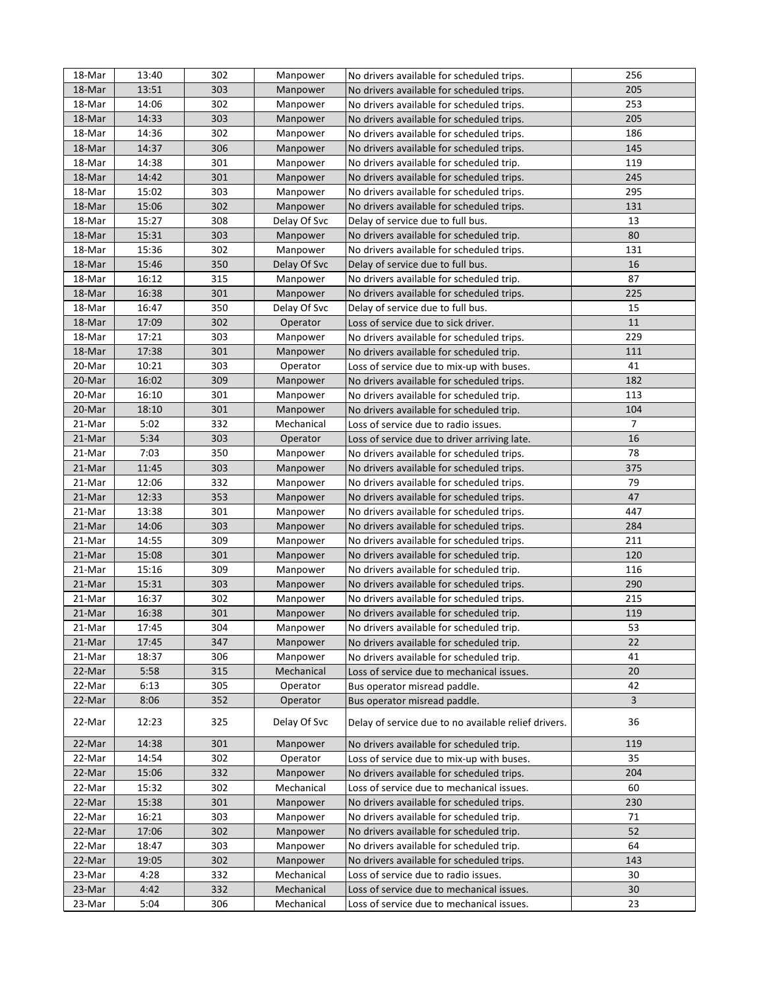| 18-Mar | 13:40 | 302 | Manpower     | No drivers available for scheduled trips.            | 256            |
|--------|-------|-----|--------------|------------------------------------------------------|----------------|
| 18-Mar | 13:51 | 303 | Manpower     | No drivers available for scheduled trips.            | 205            |
| 18-Mar | 14:06 | 302 | Manpower     | No drivers available for scheduled trips.            | 253            |
| 18-Mar | 14:33 | 303 | Manpower     | No drivers available for scheduled trips.            | 205            |
| 18-Mar | 14:36 | 302 | Manpower     | No drivers available for scheduled trips.            | 186            |
| 18-Mar | 14:37 | 306 | Manpower     | No drivers available for scheduled trips.            | 145            |
| 18-Mar | 14:38 | 301 | Manpower     | No drivers available for scheduled trip.             | 119            |
| 18-Mar | 14:42 | 301 | Manpower     | No drivers available for scheduled trips.            | 245            |
| 18-Mar | 15:02 | 303 | Manpower     | No drivers available for scheduled trips.            | 295            |
| 18-Mar | 15:06 | 302 | Manpower     | No drivers available for scheduled trips.            | 131            |
| 18-Mar | 15:27 | 308 | Delay Of Svc | Delay of service due to full bus.                    | 13             |
| 18-Mar | 15:31 | 303 | Manpower     | No drivers available for scheduled trip.             | 80             |
| 18-Mar | 15:36 | 302 | Manpower     | No drivers available for scheduled trips.            | 131            |
| 18-Mar | 15:46 | 350 | Delay Of Svc | Delay of service due to full bus.                    | 16             |
| 18-Mar | 16:12 | 315 | Manpower     | No drivers available for scheduled trip.             | 87             |
| 18-Mar | 16:38 | 301 | Manpower     | No drivers available for scheduled trips.            | 225            |
| 18-Mar | 16:47 | 350 | Delay Of Svc | Delay of service due to full bus.                    | 15             |
| 18-Mar | 17:09 | 302 | Operator     | Loss of service due to sick driver.                  | 11             |
| 18-Mar | 17:21 | 303 | Manpower     | No drivers available for scheduled trips.            | 229            |
| 18-Mar | 17:38 | 301 | Manpower     | No drivers available for scheduled trip.             | 111            |
| 20-Mar | 10:21 | 303 | Operator     | Loss of service due to mix-up with buses.            | 41             |
| 20-Mar | 16:02 | 309 | Manpower     | No drivers available for scheduled trips.            | 182            |
| 20-Mar | 16:10 | 301 | Manpower     | No drivers available for scheduled trip.             | 113            |
| 20-Mar | 18:10 | 301 | Manpower     | No drivers available for scheduled trip.             | 104            |
| 21-Mar | 5:02  | 332 | Mechanical   | Loss of service due to radio issues.                 | $\overline{7}$ |
| 21-Mar | 5:34  | 303 | Operator     | Loss of service due to driver arriving late.         | 16             |
| 21-Mar | 7:03  | 350 | Manpower     | No drivers available for scheduled trips.            | 78             |
| 21-Mar | 11:45 | 303 | Manpower     | No drivers available for scheduled trips.            | 375            |
| 21-Mar | 12:06 | 332 | Manpower     | No drivers available for scheduled trips.            | 79             |
| 21-Mar | 12:33 | 353 | Manpower     | No drivers available for scheduled trips.            | 47             |
| 21-Mar | 13:38 | 301 | Manpower     | No drivers available for scheduled trips.            | 447            |
| 21-Mar | 14:06 | 303 | Manpower     | No drivers available for scheduled trips.            | 284            |
| 21-Mar | 14:55 | 309 | Manpower     | No drivers available for scheduled trips.            | 211            |
| 21-Mar | 15:08 | 301 | Manpower     | No drivers available for scheduled trip.             | 120            |
| 21-Mar | 15:16 | 309 | Manpower     | No drivers available for scheduled trip.             | 116            |
| 21-Mar | 15:31 | 303 | Manpower     | No drivers available for scheduled trips.            | 290            |
| 21-Mar | 16:37 | 302 | Manpower     | No drivers available for scheduled trips.            | 215            |
| 21-Mar | 16:38 | 301 | Manpower     | No drivers available for scheduled trip.             | 119            |
| 21-Mar | 17:45 | 304 | Manpower     | No drivers available for scheduled trip.             | 53             |
| 21-Mar | 17:45 | 347 | Manpower     | No drivers available for scheduled trip.             | 22             |
| 21-Mar | 18:37 | 306 | Manpower     | No drivers available for scheduled trip.             | 41             |
| 22-Mar | 5:58  | 315 | Mechanical   | Loss of service due to mechanical issues.            | 20             |
| 22-Mar | 6:13  | 305 | Operator     | Bus operator misread paddle.                         | 42             |
| 22-Mar | 8:06  | 352 | Operator     | Bus operator misread paddle.                         | $\overline{3}$ |
| 22-Mar | 12:23 | 325 | Delay Of Svc | Delay of service due to no available relief drivers. | 36             |
| 22-Mar | 14:38 | 301 | Manpower     | No drivers available for scheduled trip.             | 119            |
| 22-Mar | 14:54 | 302 | Operator     | Loss of service due to mix-up with buses.            | 35             |
| 22-Mar | 15:06 | 332 | Manpower     | No drivers available for scheduled trips.            | 204            |
| 22-Mar | 15:32 | 302 | Mechanical   | Loss of service due to mechanical issues.            | 60             |
| 22-Mar | 15:38 | 301 | Manpower     | No drivers available for scheduled trips.            | 230            |
| 22-Mar | 16:21 | 303 | Manpower     | No drivers available for scheduled trip.             | 71             |
| 22-Mar | 17:06 | 302 | Manpower     | No drivers available for scheduled trip.             | 52             |
| 22-Mar | 18:47 | 303 | Manpower     | No drivers available for scheduled trip.             | 64             |
| 22-Mar | 19:05 | 302 | Manpower     | No drivers available for scheduled trips.            | 143            |
| 23-Mar | 4:28  | 332 | Mechanical   | Loss of service due to radio issues.                 | 30             |
| 23-Mar | 4:42  | 332 | Mechanical   | Loss of service due to mechanical issues.            | 30             |
| 23-Mar | 5:04  | 306 | Mechanical   | Loss of service due to mechanical issues.            | 23             |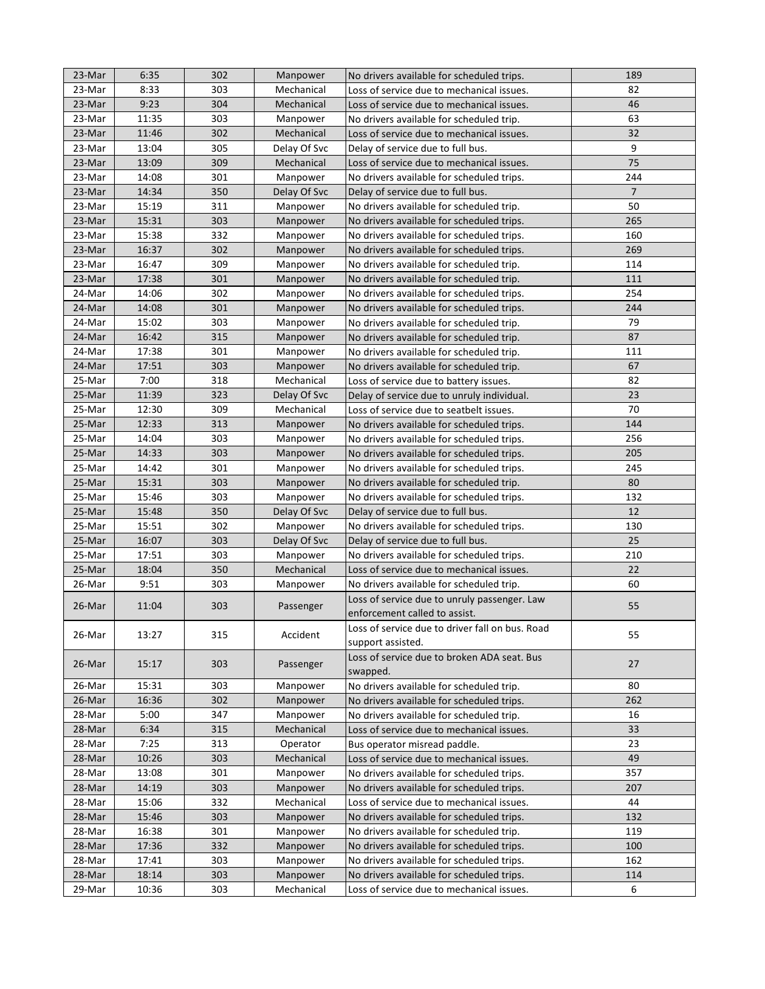| 23-Mar | 6:35  | 302 | Manpower     | No drivers available for scheduled trips.       | 189            |
|--------|-------|-----|--------------|-------------------------------------------------|----------------|
| 23-Mar | 8:33  | 303 | Mechanical   | Loss of service due to mechanical issues.       | 82             |
| 23-Mar | 9:23  | 304 | Mechanical   | Loss of service due to mechanical issues.       | 46             |
| 23-Mar | 11:35 | 303 |              |                                                 | 63             |
|        |       |     | Manpower     | No drivers available for scheduled trip.        |                |
| 23-Mar | 11:46 | 302 | Mechanical   | Loss of service due to mechanical issues.       | 32             |
| 23-Mar | 13:04 | 305 | Delay Of Svc | Delay of service due to full bus.               | 9              |
| 23-Mar | 13:09 | 309 | Mechanical   | Loss of service due to mechanical issues.       | 75             |
| 23-Mar | 14:08 | 301 | Manpower     | No drivers available for scheduled trips.       | 244            |
| 23-Mar | 14:34 | 350 | Delay Of Svc | Delay of service due to full bus.               | $\overline{7}$ |
| 23-Mar | 15:19 | 311 | Manpower     | No drivers available for scheduled trip.        | 50             |
| 23-Mar | 15:31 | 303 | Manpower     | No drivers available for scheduled trips.       | 265            |
| 23-Mar | 15:38 | 332 | Manpower     | No drivers available for scheduled trips.       | 160            |
| 23-Mar | 16:37 | 302 | Manpower     | No drivers available for scheduled trips.       | 269            |
| 23-Mar | 16:47 | 309 | Manpower     | No drivers available for scheduled trip.        | 114            |
| 23-Mar | 17:38 | 301 | Manpower     | No drivers available for scheduled trip.        | 111            |
| 24-Mar | 14:06 | 302 | Manpower     | No drivers available for scheduled trips.       | 254            |
| 24-Mar | 14:08 | 301 | Manpower     | No drivers available for scheduled trips.       | 244            |
| 24-Mar | 15:02 | 303 | Manpower     | No drivers available for scheduled trip.        | 79             |
| 24-Mar | 16:42 | 315 | Manpower     | No drivers available for scheduled trip.        | 87             |
| 24-Mar | 17:38 | 301 | Manpower     | No drivers available for scheduled trip.        | 111            |
| 24-Mar | 17:51 | 303 | Manpower     | No drivers available for scheduled trip.        | 67             |
| 25-Mar | 7:00  | 318 | Mechanical   | Loss of service due to battery issues.          | 82             |
| 25-Mar | 11:39 | 323 | Delay Of Svc | Delay of service due to unruly individual.      | 23             |
| 25-Mar | 12:30 | 309 | Mechanical   | Loss of service due to seatbelt issues.         | 70             |
| 25-Mar | 12:33 | 313 | Manpower     | No drivers available for scheduled trips.       | 144            |
| 25-Mar | 14:04 | 303 | Manpower     | No drivers available for scheduled trips.       | 256            |
| 25-Mar | 14:33 | 303 | Manpower     | No drivers available for scheduled trips.       | 205            |
| 25-Mar | 14:42 | 301 | Manpower     | No drivers available for scheduled trips.       | 245            |
| 25-Mar | 15:31 | 303 | Manpower     | No drivers available for scheduled trip.        | 80             |
| 25-Mar | 15:46 | 303 | Manpower     | No drivers available for scheduled trips.       | 132            |
| 25-Mar | 15:48 | 350 | Delay Of Svc | Delay of service due to full bus.               | 12             |
| 25-Mar | 15:51 | 302 | Manpower     | No drivers available for scheduled trips.       | 130            |
| 25-Mar | 16:07 | 303 | Delay Of Svc | Delay of service due to full bus.               | 25             |
| 25-Mar | 17:51 | 303 | Manpower     | No drivers available for scheduled trips.       | 210            |
| 25-Mar | 18:04 | 350 | Mechanical   | Loss of service due to mechanical issues.       | 22             |
| 26-Mar | 9:51  | 303 | Manpower     | No drivers available for scheduled trip.        | 60             |
|        |       |     |              | Loss of service due to unruly passenger. Law    |                |
| 26-Mar | 11:04 | 303 | Passenger    | enforcement called to assist.                   | 55             |
|        |       |     |              | Loss of service due to driver fall on bus. Road |                |
| 26-Mar | 13:27 | 315 | Accident     |                                                 | 55             |
|        |       |     |              | support assisted.                               |                |
| 26-Mar | 15:17 | 303 | Passenger    | Loss of service due to broken ADA seat. Bus     | 27             |
|        |       |     |              | swapped.                                        |                |
| 26-Mar | 15:31 | 303 | Manpower     | No drivers available for scheduled trip.        | 80             |
| 26-Mar | 16:36 | 302 | Manpower     | No drivers available for scheduled trips.       | 262            |
| 28-Mar | 5:00  | 347 | Manpower     | No drivers available for scheduled trip.        | 16             |
| 28-Mar | 6:34  | 315 | Mechanical   | Loss of service due to mechanical issues.       | 33             |
| 28-Mar | 7:25  | 313 | Operator     | Bus operator misread paddle.                    | 23             |
| 28-Mar | 10:26 | 303 | Mechanical   | Loss of service due to mechanical issues.       | 49             |
| 28-Mar | 13:08 | 301 | Manpower     | No drivers available for scheduled trips.       | 357            |
| 28-Mar | 14:19 | 303 | Manpower     | No drivers available for scheduled trips.       | 207            |
| 28-Mar | 15:06 | 332 | Mechanical   | Loss of service due to mechanical issues.       | 44             |
| 28-Mar | 15:46 | 303 | Manpower     | No drivers available for scheduled trips.       | 132            |
| 28-Mar | 16:38 | 301 | Manpower     | No drivers available for scheduled trip.        | 119            |
| 28-Mar | 17:36 | 332 | Manpower     | No drivers available for scheduled trips.       | 100            |
| 28-Mar | 17:41 | 303 | Manpower     | No drivers available for scheduled trips.       | 162            |
| 28-Mar | 18:14 | 303 | Manpower     | No drivers available for scheduled trips.       | 114            |
| 29-Mar | 10:36 | 303 | Mechanical   | Loss of service due to mechanical issues.       | 6              |